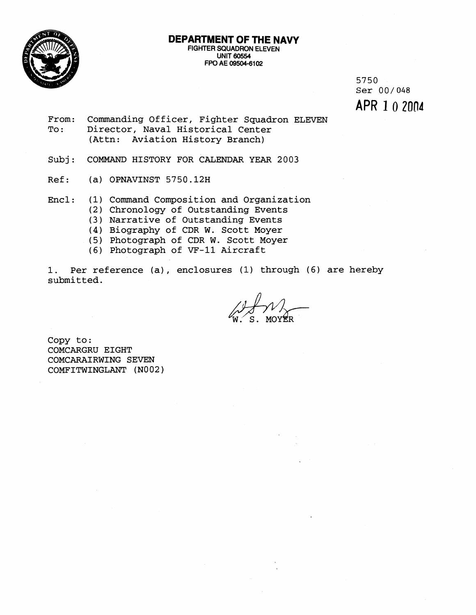

#### **DEPARTMENT OF THE NAVY FIGHTER SQUADRON ELEVEN UNIT 60554 FPO AE 09504-61 02**

5750 Ser 00/048 **APR** 1 0 **20ff4** 

- From: Commanding Officer, Fighter Squadron ELEVEN<br>To: Director, Naval Historical Center Director, Naval Historical Center (Attn: Aviation History Branch)
- Subj: COMMAND HISTORY FOR CALENDAR. YEAR 2003
- Ref: (a) OPNAVINST 5750.12H
- Encl: (1) Command Composition and Organization
	- (2) Chronology of Outstanding Events
	- (3) Narrative of Outstanding Events
	- (4) Biography of CDR W. Scott Moyer
	- (5) Photograph of CDR W. Scott Moyer
	- $(6)$  Photograph of VF-11 Aircraft

1. Per reference (a), enclosures (1) through (6) are hereby submitted.

Copy to: COMCARGRU EIGHT COMCARAIRWING SEVEN COMFITWINGLANT (NO 02 )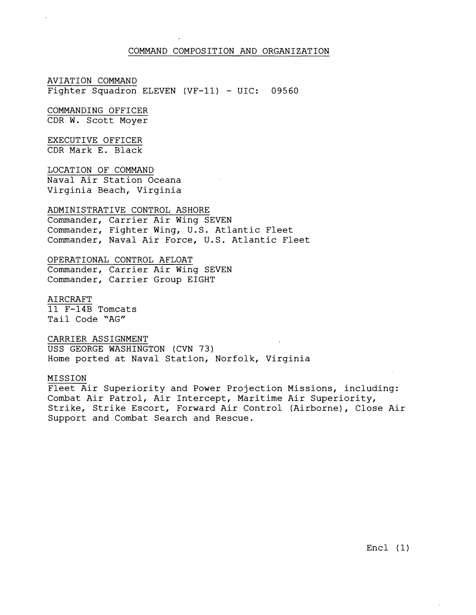#### COMMAND COMPOSITION AND ORGANIZATION

#### AVIATION COMMAND Fighter Squadron ELEVEN (VF-11) - UIC: 09560

COMMANDING OFFICER CDR W. Scott Moyer

#### EXECUTIVE OFFICER CDR Mark E. Black

LOCATION OF COMMAND Naval Air Station Oceana Virginia Beach, Virginia

### ADMINISTRATIVE CONTROL ASHORE

Commander, Carrier Air Wing SEVEN Commander, Fighter Wing, U. S. Atlantic Fleet Commander, Naval Air Force, U.S. Atlantic Fleet

### OPERATIONAL CONTROL AFLOAT

Commander, Carrier Air Wing SEVEN Commander, Carrier Group EIGHT

#### AIRCRAFT

11 F-14B Tomcats Tail Code "AG"

#### CARRIER ASSIGNMENT

USS GEORGE WASHINGTON (CVN 73) Home ported at Naval Station, Norfolk, Virginia

#### MISSION

Fleet Air Superiority and Power Projection Missions, including: Combat Air Patrol, Air Intercept, Maritime Air Superiority, Strike, Strike Escort, Forward Air Control (Airborne), Close Air Support and Combat Search and Rescue.

Encl (1)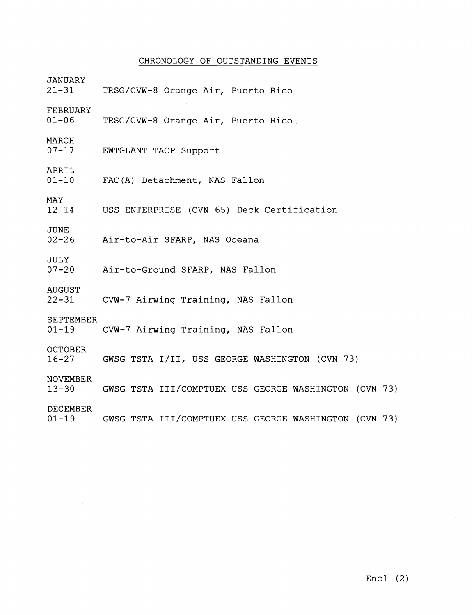#### CHRONOLOGY OF OUTSTANDING EVENTS

JANUARY

TRSG/CVW-8 Orange Air, Puerto Rico

FEBRUARY<br>01-06

TRSG/CVW-8 Orange Air, Puerto Rico

MARCH<br>07-17

EWTGLANT TACP Support

# APRIL<br>01-10

FAC(A) Detachment, NAS Fallon

MAY<br>12-14 USS ENTERPRISE (CVN 65) Deck Certification

JUNE<br>02-26

Air-to-Air SFARP, NAS Oceana

JULY<br>07-20 Air-to-Ground SFARP, NAS Fallon

AUGUST

22-31 CVW-7 Airwing Training, NAS Fallon

# SEPTEMBER<br>01-19

CVW-7 Airwing Training, NAS Fallon

**OCTOBER** 

16-27 GWSG TSTA 1/11, USS GEORGE WASHINGTON (CVN 73)

NOVEMBER<br>13-30

13-30 GWSG TSTA III/COMPTUEX uss GEORGE WASHINGTON (CVN 73)

DECEMBER

01-19 GWSG TSTA III/COMPTUEX USS GEORGE WASHINGTON (CVN 73)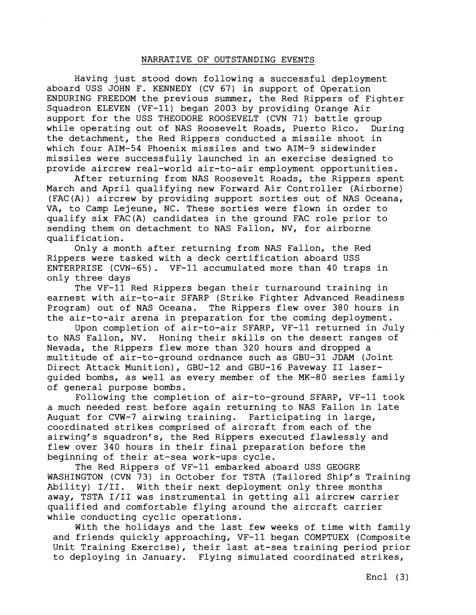#### NARRATIVE OF OUTSTANDING EVENTS

Having just stood down following a successful deployment aboard USS JOHN F. KENNEDY (CV 67) in support of Operation ENDURING FREEDOM the previous summer, the Red Rippers of Fighter Squadron ELEVEN (VF-11) began 2003 by providing Orange Air support for the USS THEODORE ROOSEVELT (CVN 71) battle group while operating out of NAS Roosevelt Roads, Puerto Rico. During the detachment, the Red Rippers conducted a missile shoot in which four AIM-54 Phoenix missiles and two AIM-9 sidewinder missiles were successfully launched in an exercise designed to provide aircrew real-world air-to-air employment opportunities.

After returning from NAS Roosevelt Roads, the Rippers spent March and April qualifying new Forward Air Controller (Airborne) (FAC(A)) aircrew by providing support sorties out of NAS Oceana, VA, to Camp Lejeune, NC. These sorties were flown in order to qualify six FAC(A) candidates in the ground FAC role prior to sending them on detachment to NAS Fallon, NV, for airborne qualification.

Only a month after returning from NAS Fallon, the Red Rippers were tasked with a deck certification aboard USS ENTERPRISE (CVN-65). VF-11 accumulated more than 40 traps in only three days

The VF-11 Red Rippers began their turnaround training in earnest with air-to-air SFARP (Strike Fighter Advanced Readiness Program) out of NAS Oceana. The Rippers flew over 380 hours in the air-to-air arena in preparation for the coming deployment.

Upon completion of air-to-air SFARP, VF-11 returned in July to NAS Fallon, NV. Honing their skills on the desert ranges of Nevada, the Rippers flew more than 320 hours and dropped a multitude of air-to-ground ordnance such as GBU-31 JDAM (Joint Direct Attack Munition), GBU-12 and GBU-16 Paveway I1 laserguided bombs, as well as every member of the MK-80 series family of general purpose bombs,

Following the completion of air-to-ground SFARP, VF-11 took a much needed rest before again returning to NAS Fallon in late August for CVW-7 airwing training. Participating in large, coordinated strikes comprised of aircraft from each of the airwing's squadron's, the Red Rippers executed flawlessly and flew over 340 hours in their final preparation before the beginning of their at-sea work-ups cycle.

The Red Rippers of VF-11 embarked aboard USS GEOGRE WASHINGTON (CVN 73) in October for TSTA (Tailored Ship's Training Ability) 1/11. With their next deployment only three months away, TSTA 1/11 was instrumental in getting all aircrew carrier qualified and comfortable flying around the aircraft carrier while conducting cyclic operations.

With the holidays and the last few weeks of time with family and friends quickly approaching, VF-11 began COMPTUEX (Composite Unit Training Exercise), their last at-sea training period prior to deploying in January. Flying simulated coordinated strikes,